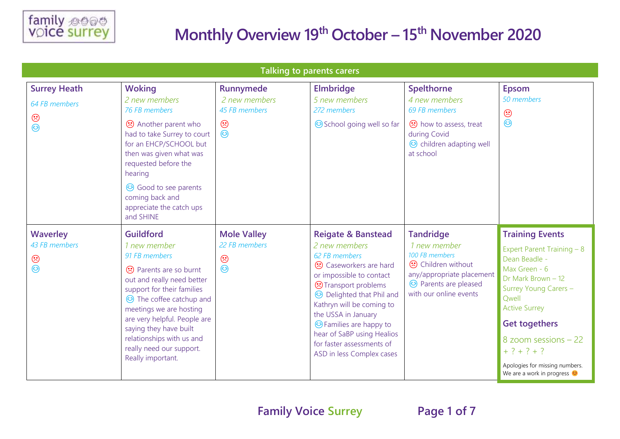

| <b>Talking to parents carers</b>                       |                                                                                                                                                                                                                                                                                                                                         |                                                                   |                                                                                                                                                                                                                                                                                                                                                                    |                                                                                                                                                                        |                                                                                                                                                                                                                                                                                                                  |  |
|--------------------------------------------------------|-----------------------------------------------------------------------------------------------------------------------------------------------------------------------------------------------------------------------------------------------------------------------------------------------------------------------------------------|-------------------------------------------------------------------|--------------------------------------------------------------------------------------------------------------------------------------------------------------------------------------------------------------------------------------------------------------------------------------------------------------------------------------------------------------------|------------------------------------------------------------------------------------------------------------------------------------------------------------------------|------------------------------------------------------------------------------------------------------------------------------------------------------------------------------------------------------------------------------------------------------------------------------------------------------------------|--|
| <b>Surrey Heath</b><br>64 FB members<br>$\odot$<br>☺   | <b>Woking</b><br>2 new members<br>76 FB members<br>↔ Another parent who<br>had to take Surrey to court<br>for an EHCP/SCHOOL but<br>then was given what was<br>requested before the<br>hearing<br><b>☉</b> Good to see parents<br>coming back and<br>appreciate the catch ups<br>and SHINE                                              | Runnymede<br>2 new members<br>45 FB members<br>$\odot$<br>$\odot$ | <b>Elmbridge</b><br>5 new members<br>272 members<br>School going well so far                                                                                                                                                                                                                                                                                       | <b>Spelthorne</b><br>4 new members<br>69 FB members<br>how to assess, treat<br>during Covid<br>co children adapting well<br>at school                                  | <b>Epsom</b><br>50 members<br>$\odot$<br>$\odot$                                                                                                                                                                                                                                                                 |  |
| <b>Waverley</b><br>43 FB members<br>$\odot$<br>$\odot$ | <b>Guildford</b><br>1 new member<br>91 FB members<br>→ Parents are so burnt<br>out and really need better<br>support for their families<br>to The coffee catchup and<br>meetings we are hosting<br>are very helpful. People are<br>saying they have built<br>relationships with us and<br>really need our support.<br>Really important. | <b>Mole Valley</b><br>22 FB members<br>$\odot$<br>$\odot$         | <b>Reigate &amp; Banstead</b><br>2 new members<br>62 FB members<br>Caseworkers are hard<br>or impossible to contact<br><b>Transport problems</b><br><b>B</b> Delighted that Phil and<br>Kathryn will be coming to<br>the USSA in January<br><b>C</b> Families are happy to<br>hear of SaBP using Healios<br>for faster assessments of<br>ASD in less Complex cases | <b>Tandridge</b><br>1 new member<br>100 FB members<br><b>⊙</b> Children without<br>any/appropriate placement<br><b>@</b> Parents are pleased<br>with our online events | <b>Training Events</b><br>Expert Parent Training - 8<br>Dean Beadle -<br>Max Green - 6<br>Dr Mark Brown - 12<br>Surrey Young Carers -<br>Qwell<br><b>Active Surrey</b><br><b>Get togethers</b><br>8 zoom sessions - 22<br>$+ ? + ? + ?$<br>Apologies for missing numbers.<br>We are a work in progress $\bullet$ |  |

**Family Voice Surrey Page 1 of 7**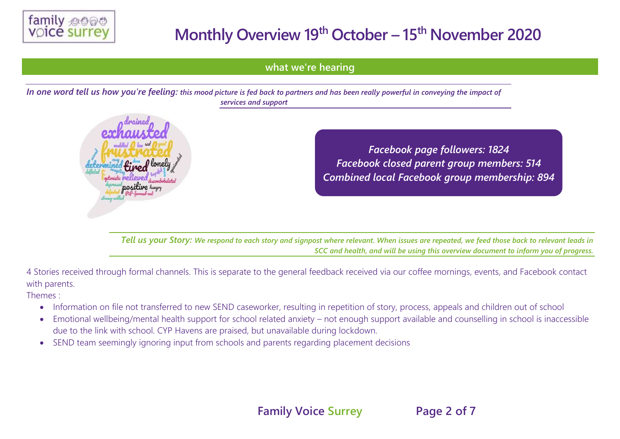

### **what we're hearing**

*In one word tell us how you're feeling: this mood picture is fed back to partners and has been really powerful in conveying the impact of services and support*



*Facebook page followers: 1824 Facebook closed parent group members: 514 Combined local Facebook group membership: 894*

*Tell us your Story: We respond to each story and signpost where relevant. When issues are repeated, we feed those back to relevant leads in SCC and health, and will be using this overview document to inform you of progress.*

4 Stories received through formal channels. This is separate to the general feedback received via our coffee mornings, events, and Facebook contact with parents.

Themes :

- Information on file not transferred to new SEND caseworker, resulting in repetition of story, process, appeals and children out of school
- Emotional wellbeing/mental health support for school related anxiety not enough support available and counselling in school is inaccessible due to the link with school. CYP Havens are praised, but unavailable during lockdown.
- SEND team seemingly ignoring input from schools and parents regarding placement decisions

**Family Voice Surrey Page 2 of 7**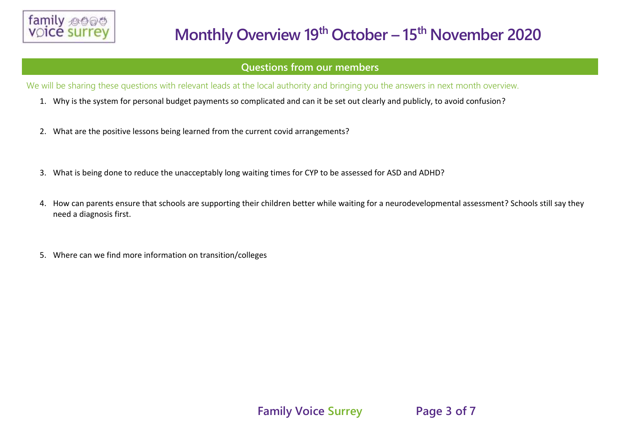

#### **Questions from our members**

We will be sharing these questions with relevant leads at the local authority and bringing you the answers in next month overview.

- 1. Why is the system for personal budget payments so complicated and can it be set out clearly and publicly, to avoid confusion?
- 2. What are the positive lessons being learned from the current covid arrangements?
- 3. What is being done to reduce the unacceptably long waiting times for CYP to be assessed for ASD and ADHD?
- 4. How can parents ensure that schools are supporting their children better while waiting for a neurodevelopmental assessment? Schools still say they need a diagnosis first.
- 5. Where can we find more information on transition/colleges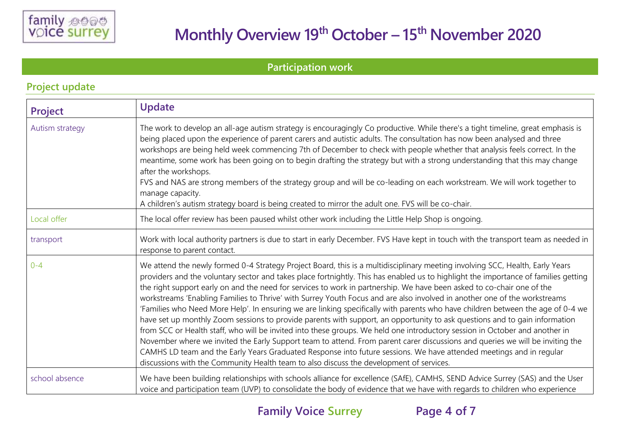

**Participation work** 

| <b>Project</b>  | <b>Update</b>                                                                                                                                                                                                                                                                                                                                                                                                                                                                                                                                                                                                                                                                                                                                                                                                                                                                                                                                                                                                                                                                                                                                                                                                                                                                  |  |
|-----------------|--------------------------------------------------------------------------------------------------------------------------------------------------------------------------------------------------------------------------------------------------------------------------------------------------------------------------------------------------------------------------------------------------------------------------------------------------------------------------------------------------------------------------------------------------------------------------------------------------------------------------------------------------------------------------------------------------------------------------------------------------------------------------------------------------------------------------------------------------------------------------------------------------------------------------------------------------------------------------------------------------------------------------------------------------------------------------------------------------------------------------------------------------------------------------------------------------------------------------------------------------------------------------------|--|
| Autism strategy | The work to develop an all-age autism strategy is encouragingly Co productive. While there's a tight timeline, great emphasis is<br>being placed upon the experience of parent carers and autistic adults. The consultation has now been analysed and three<br>workshops are being held week commencing 7th of December to check with people whether that analysis feels correct. In the<br>meantime, some work has been going on to begin drafting the strategy but with a strong understanding that this may change<br>after the workshops.<br>FVS and NAS are strong members of the strategy group and will be co-leading on each workstream. We will work together to<br>manage capacity.<br>A children's autism strategy board is being created to mirror the adult one. FVS will be co-chair.                                                                                                                                                                                                                                                                                                                                                                                                                                                                            |  |
| Local offer     | The local offer review has been paused whilst other work including the Little Help Shop is ongoing.                                                                                                                                                                                                                                                                                                                                                                                                                                                                                                                                                                                                                                                                                                                                                                                                                                                                                                                                                                                                                                                                                                                                                                            |  |
| transport       | Work with local authority partners is due to start in early December. FVS Have kept in touch with the transport team as needed in<br>response to parent contact.                                                                                                                                                                                                                                                                                                                                                                                                                                                                                                                                                                                                                                                                                                                                                                                                                                                                                                                                                                                                                                                                                                               |  |
| $0 - 4$         | We attend the newly formed 0-4 Strategy Project Board, this is a multidisciplinary meeting involving SCC, Health, Early Years<br>providers and the voluntary sector and takes place fortnightly. This has enabled us to highlight the importance of families getting<br>the right support early on and the need for services to work in partnership. We have been asked to co-chair one of the<br>workstreams 'Enabling Families to Thrive' with Surrey Youth Focus and are also involved in another one of the workstreams<br>'Families who Need More Help'. In ensuring we are linking specifically with parents who have children between the age of 0-4 we<br>have set up monthly Zoom sessions to provide parents with support, an opportunity to ask questions and to gain information<br>from SCC or Health staff, who will be invited into these groups. We held one introductory session in October and another in<br>November where we invited the Early Support team to attend. From parent carer discussions and queries we will be inviting the<br>CAMHS LD team and the Early Years Graduated Response into future sessions. We have attended meetings and in regular<br>discussions with the Community Health team to also discuss the development of services. |  |
| school absence  | We have been building relationships with schools alliance for excellence (SAfE), CAMHS, SEND Advice Surrey (SAS) and the User<br>voice and participation team (UVP) to consolidate the body of evidence that we have with regards to children who experience                                                                                                                                                                                                                                                                                                                                                                                                                                                                                                                                                                                                                                                                                                                                                                                                                                                                                                                                                                                                                   |  |

### **Project update**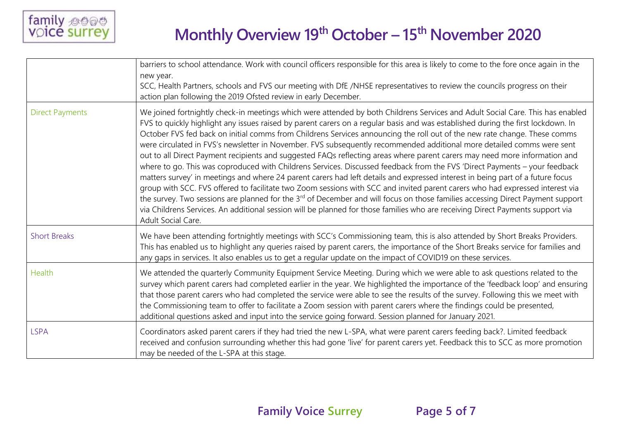

|                        | barriers to school attendance. Work with council officers responsible for this area is likely to come to the fore once again in the<br>new year.<br>SCC, Health Partners, schools and FVS our meeting with DfE /NHSE representatives to review the councils progress on their<br>action plan following the 2019 Ofsted review in early December.                                                                                                                                                                                                                                                                                                                                                                                                                                                                                                                                                                                                                                                                                                                                                                                                                                                                                                                                                                                                               |
|------------------------|----------------------------------------------------------------------------------------------------------------------------------------------------------------------------------------------------------------------------------------------------------------------------------------------------------------------------------------------------------------------------------------------------------------------------------------------------------------------------------------------------------------------------------------------------------------------------------------------------------------------------------------------------------------------------------------------------------------------------------------------------------------------------------------------------------------------------------------------------------------------------------------------------------------------------------------------------------------------------------------------------------------------------------------------------------------------------------------------------------------------------------------------------------------------------------------------------------------------------------------------------------------------------------------------------------------------------------------------------------------|
| <b>Direct Payments</b> | We joined fortnightly check-in meetings which were attended by both Childrens Services and Adult Social Care. This has enabled<br>FVS to quickly highlight any issues raised by parent carers on a regular basis and was established during the first lockdown. In<br>October FVS fed back on initial comms from Childrens Services announcing the roll out of the new rate change. These comms<br>were circulated in FVS's newsletter in November. FVS subsequently recommended additional more detailed comms were sent<br>out to all Direct Payment recipients and suggested FAQs reflecting areas where parent carers may need more information and<br>where to go. This was coproduced with Childrens Services. Discussed feedback from the FVS 'Direct Payments - your feedback<br>matters survey' in meetings and where 24 parent carers had left details and expressed interest in being part of a future focus<br>group with SCC. FVS offered to facilitate two Zoom sessions with SCC and invited parent carers who had expressed interest via<br>the survey. Two sessions are planned for the 3 <sup>rd</sup> of December and will focus on those families accessing Direct Payment support<br>via Childrens Services. An additional session will be planned for those families who are receiving Direct Payments support via<br>Adult Social Care. |
| <b>Short Breaks</b>    | We have been attending fortnightly meetings with SCC's Commissioning team, this is also attended by Short Breaks Providers.<br>This has enabled us to highlight any queries raised by parent carers, the importance of the Short Breaks service for families and<br>any gaps in services. It also enables us to get a regular update on the impact of COVID19 on these services.                                                                                                                                                                                                                                                                                                                                                                                                                                                                                                                                                                                                                                                                                                                                                                                                                                                                                                                                                                               |
| Health                 | We attended the quarterly Community Equipment Service Meeting. During which we were able to ask questions related to the<br>survey which parent carers had completed earlier in the year. We highlighted the importance of the 'feedback loop' and ensuring<br>that those parent carers who had completed the service were able to see the results of the survey. Following this we meet with<br>the Commissioning team to offer to facilitate a Zoom session with parent carers where the findings could be presented,<br>additional questions asked and input into the service going forward. Session planned for January 2021.                                                                                                                                                                                                                                                                                                                                                                                                                                                                                                                                                                                                                                                                                                                              |
| <b>LSPA</b>            | Coordinators asked parent carers if they had tried the new L-SPA, what were parent carers feeding back?. Limited feedback<br>received and confusion surrounding whether this had gone 'live' for parent carers yet. Feedback this to SCC as more promotion<br>may be needed of the L-SPA at this stage.                                                                                                                                                                                                                                                                                                                                                                                                                                                                                                                                                                                                                                                                                                                                                                                                                                                                                                                                                                                                                                                        |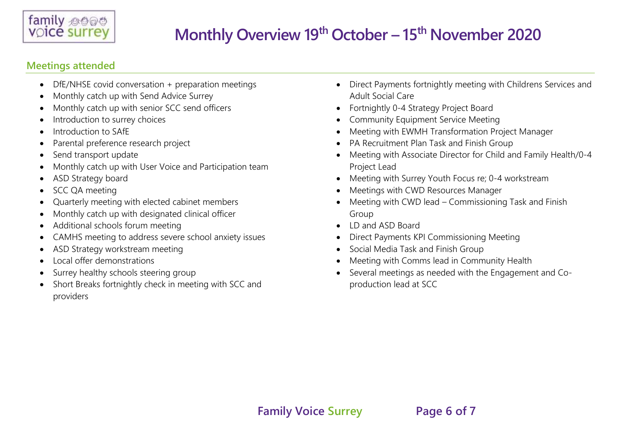

### **Meetings attended**

- DfE/NHSE covid conversation + preparation meetings
- Monthly catch up with Send Advice Surrey
- Monthly catch up with senior SCC send officers
- Introduction to surrey choices
- Introduction to SAfE
- Parental preference research project
- Send transport update
- Monthly catch up with User Voice and Participation team
- ASD Strategy board
- SCC QA meeting
- Quarterly meeting with elected cabinet members
- Monthly catch up with designated clinical officer
- Additional schools forum meeting
- CAMHS meeting to address severe school anxiety issues
- ASD Strategy workstream meeting
- Local offer demonstrations
- Surrey healthy schools steering group
- Short Breaks fortnightly check in meeting with SCC and providers
- Direct Payments fortnightly meeting with Childrens Services and Adult Social Care
- Fortnightly 0-4 Strategy Project Board
- Community Equipment Service Meeting
- Meeting with EWMH Transformation Project Manager
- PA Recruitment Plan Task and Finish Group
- Meeting with Associate Director for Child and Family Health/0-4 Project Lead
- Meeting with Surrey Youth Focus re; 0-4 workstream
- Meetings with CWD Resources Manager
- Meeting with CWD lead Commissioning Task and Finish Group
- ID and ASD Board
- Direct Payments KPI Commissioning Meeting
- Social Media Task and Finish Group
- Meeting with Comms lead in Community Health
- Several meetings as needed with the Engagement and Coproduction lead at SCC